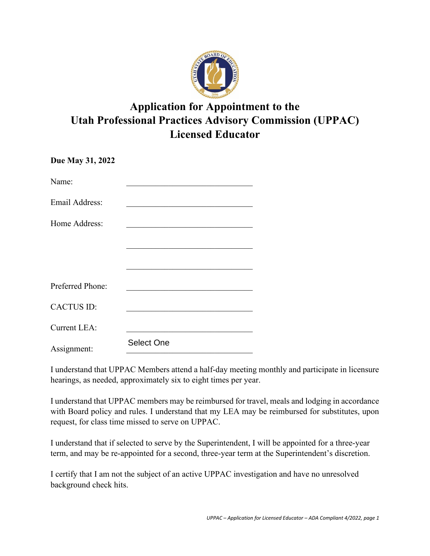

## **Application for Appointment to the Utah Professional Practices Advisory Commission (UPPAC) Licensed Educator**

| Due May 31, 2022    |                                                             |
|---------------------|-------------------------------------------------------------|
| Name:               | <u> 1980 - Jan Barbara Barat, manazar a</u>                 |
| Email Address:      |                                                             |
| Home Address:       |                                                             |
|                     |                                                             |
|                     |                                                             |
| Preferred Phone:    | the control of the control of the control of the control of |
| <b>CACTUS ID:</b>   |                                                             |
| <b>Current LEA:</b> |                                                             |
| Assignment:         | <b>Select One</b>                                           |

Assignment:<br>I understand that UPPAC Members attend a half-day meeting monthly and participate in licensure hearings, as needed, approximately six to eight times per year.

I understand that UPPAC members may be reimbursed for travel, meals and lodging in accordance with Board policy and rules. I understand that my LEA may be reimbursed for substitutes, upon request, for class time missed to serve on UPPAC.

I understand that if selected to serve by the Superintendent, I will be appointed for a three-year term, and may be re-appointed for a second, three-year term at the Superintendent's discretion.

 I certify that I am not the subject of an active UPPAC investigation and have no unresolved background check hits.